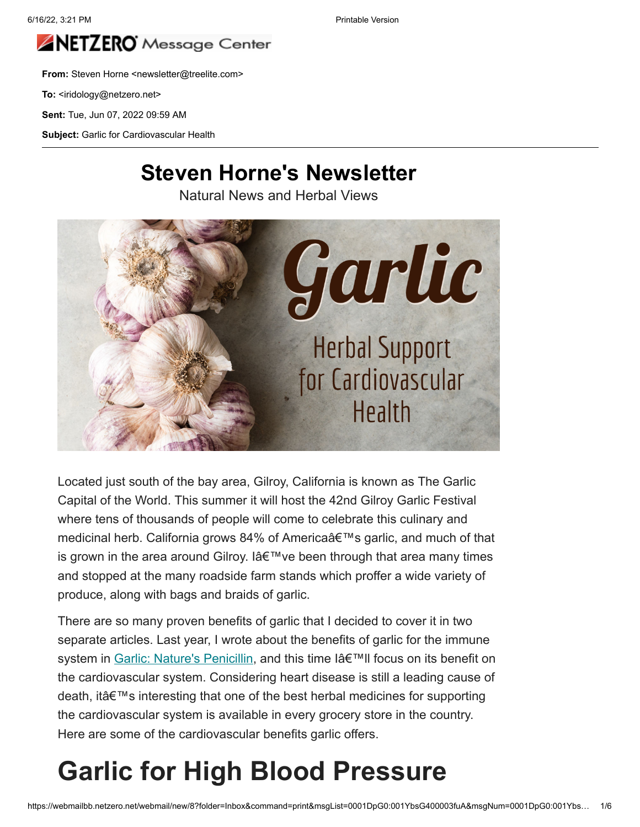

**From:** Steven Horne <newsletter@treelite.com>

To: <iridology@netzero.net>

**Sent:** Tue, Jun 07, 2022 09:59 AM

**Subject:** Garlic for Cardiovascular Health

#### **Steven Horne's Newsletter**

Natural News and Herbal Views



Located just south of the bay area, Gilroy, California is known as The Garlic Capital of the World. This summer it will host the 42nd Gilroy Garlic Festival where tens of thousands of people will come to celebrate this culinary and medicinal herb. California grows 84% of America's garlic, and much of that is grown in the area around Gilroy. I  $A \in \mathbb{N}$  ve been through that area many times and stopped at the many roadside farm stands which proffer a wide variety of produce, along with bags and braids of garlic.

There are so many proven benefits of garlic that I decided to cover it in two separate articles. Last year, I wrote about the benefits of garlic for the immune system in [Garlic: Nature's Penicillin](https://stevenhorne.us20.list-manage.com/track/click?u=de2462c38e0503003a285094c&id=de1346e0a4&e=c07f7d0955), and this time I'II focus on its benefit on the cardiovascular system. Considering heart disease is still a leading cause of death, it's interesting that one of the best herbal medicines for supporting the cardiovascular system is available in every grocery store in the country. Here are some of the cardiovascular benefits garlic offers.

### **Garlic for High Blood Pressure**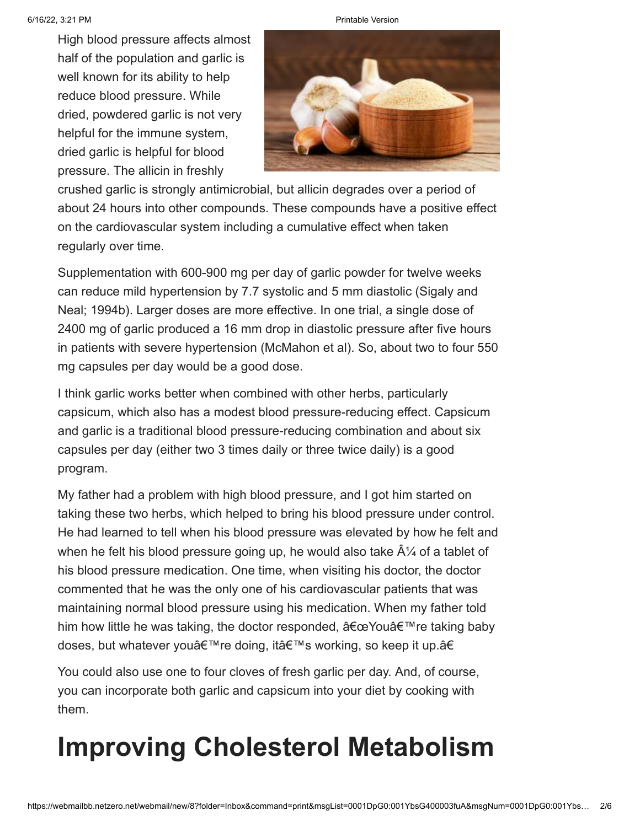High blood pressure affects almost half of the population and garlic is well known for its ability to help reduce blood pressure. While dried, powdered garlic is not very helpful for the immune system, dried garlic is helpful for blood pressure. The allicin in freshly





crushed garlic is strongly antimicrobial, but allicin degrades over a period of about 24 hours into other compounds. These compounds have a positive effect on the cardiovascular system including a cumulative effect when taken regularly over time.

Supplementation with 600-900 mg per day of garlic powder for twelve weeks can reduce mild hypertension by 7.7 systolic and 5 mm diastolic (Sigaly and Neal; 1994b). Larger doses are more effective. In one trial, a single dose of 2400 mg of garlic produced a 16 mm drop in diastolic pressure after five hours in patients with severe hypertension (McMahon et al). So, about two to four 550 mg capsules per day would be a good dose.

I think garlic works better when combined with other herbs, particularly capsicum, which also has a modest blood pressure-reducing effect. Capsicum and garlic is a traditional blood pressure-reducing combination and about six capsules per day (either two 3 times daily or three twice daily) is a good program.

My father had a problem with high blood pressure, and I got him started on taking these two herbs, which helped to bring his blood pressure under control. He had learned to tell when his blood pressure was elevated by how he felt and when he felt his blood pressure going up, he would also take  $\hat{A}$  of a tablet of his blood pressure medication. One time, when visiting his doctor, the doctor commented that he was the only one of his cardiovascular patients that was maintaining normal blood pressure using his medication. When my father told him how little he was taking, the doctor responded,  $â€ce$ You're taking baby doses, but whatever you're doing, it's working, so keep it up.â€

You could also use one to four cloves of fresh garlic per day. And, of course, you can incorporate both garlic and capsicum into your diet by cooking with them.

#### **Improving Cholesterol Metabolism**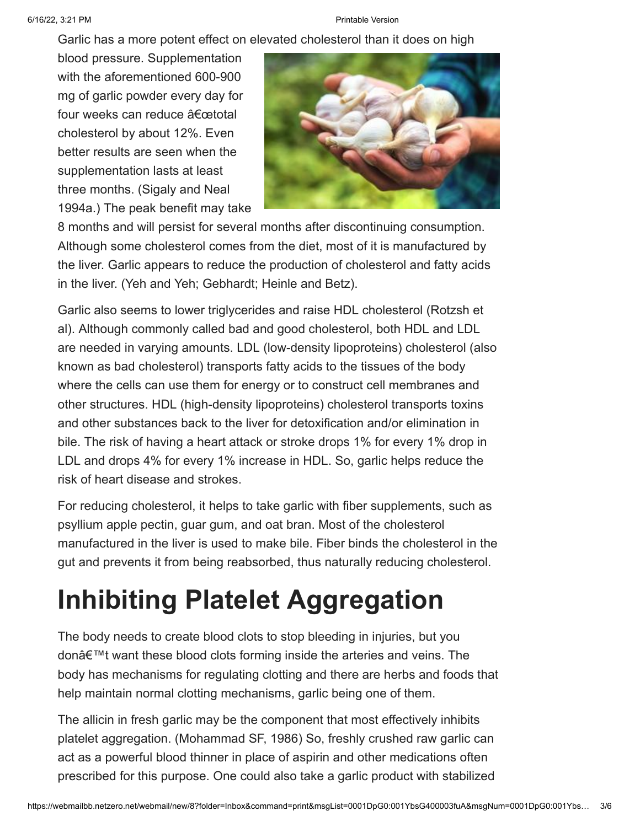Garlic has a more potent effect on elevated cholesterol than it does on high

blood pressure. Supplementation with the aforementioned 600-900 mg of garlic powder every day for four weeks can reduce "total cholesterol by about 12%. Even better results are seen when the supplementation lasts at least three months. (Sigaly and Neal 1994a.) The peak benefit may take



8 months and will persist for several months after discontinuing consumption. Although some cholesterol comes from the diet, most of it is manufactured by the liver. Garlic appears to reduce the production of cholesterol and fatty acids in the liver. (Yeh and Yeh; Gebhardt; Heinle and Betz).

Garlic also seems to lower triglycerides and raise HDL cholesterol (Rotzsh et al). Although commonly called bad and good cholesterol, both HDL and LDL are needed in varying amounts. LDL (low-density lipoproteins) cholesterol (also known as bad cholesterol) transports fatty acids to the tissues of the body where the cells can use them for energy or to construct cell membranes and other structures. HDL (high-density lipoproteins) cholesterol transports toxins and other substances back to the liver for detoxification and/or elimination in bile. The risk of having a heart attack or stroke drops 1% for every 1% drop in LDL and drops 4% for every 1% increase in HDL. So, garlic helps reduce the risk of heart disease and strokes.

For reducing cholesterol, it helps to take garlic with fiber supplements, such as psyllium apple pectin, guar gum, and oat bran. Most of the cholesterol manufactured in the liver is used to make bile. Fiber binds the cholesterol in the gut and prevents it from being reabsorbed, thus naturally reducing cholesterol.

## **Inhibiting Platelet Aggregation**

The body needs to create blood clots to stop bleeding in injuries, but you don't want these blood clots forming inside the arteries and veins. The body has mechanisms for regulating clotting and there are herbs and foods that help maintain normal clotting mechanisms, garlic being one of them.

The allicin in fresh garlic may be the component that most effectively inhibits platelet aggregation. (Mohammad SF, 1986) So, freshly crushed raw garlic can act as a powerful blood thinner in place of aspirin and other medications often prescribed for this purpose. One could also take a garlic product with stabilized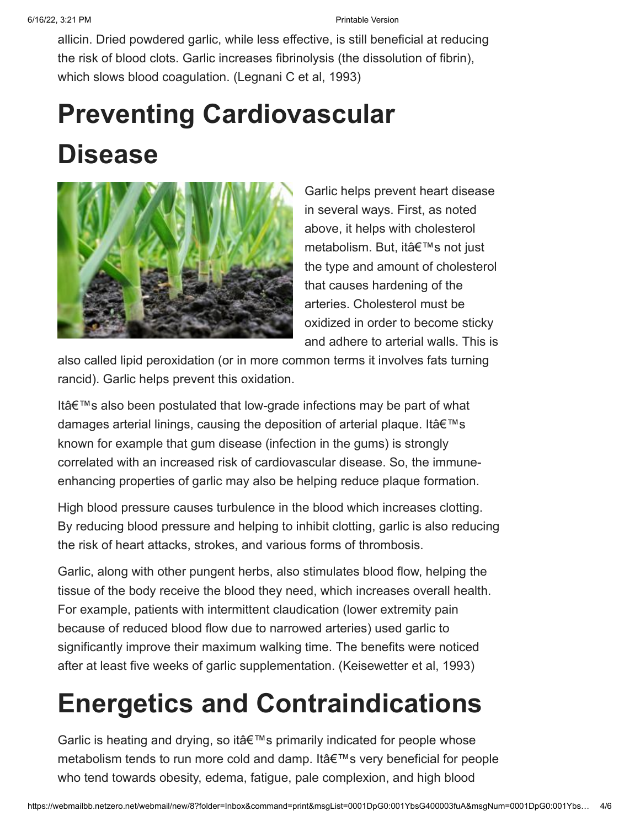allicin. Dried powdered garlic, while less effective, is still beneficial at reducing the risk of blood clots. Garlic increases fibrinolysis (the dissolution of fibrin), which slows blood coagulation. (Legnani C et al, 1993)

# **Preventing Cardiovascular Disease**



Garlic helps prevent heart disease in several ways. First, as noted above, it helps with cholesterol metabolism. But, it's not just the type and amount of cholesterol that causes hardening of the arteries. Cholesterol must be oxidized in order to become sticky and adhere to arterial walls. This is

also called lipid peroxidation (or in more common terms it involves fats turning rancid). Garlic helps prevent this oxidation.

Itâ $\epsilon$ <sup>TM</sup>s also been postulated that low-grade infections may be part of what damages arterial linings, causing the deposition of arterial plaque. It  $\hat{\mathbf{a}} \in \mathbb{M}$ s known for example that gum disease (infection in the gums) is strongly correlated with an increased risk of cardiovascular disease. So, the immuneenhancing properties of garlic may also be helping reduce plaque formation.

High blood pressure causes turbulence in the blood which increases clotting. By reducing blood pressure and helping to inhibit clotting, garlic is also reducing the risk of heart attacks, strokes, and various forms of thrombosis.

Garlic, along with other pungent herbs, also stimulates blood flow, helping the tissue of the body receive the blood they need, which increases overall health. For example, patients with intermittent claudication (lower extremity pain because of reduced blood flow due to narrowed arteries) used garlic to significantly improve their maximum walking time. The benefits were noticed after at least five weeks of garlic supplementation. (Keisewetter et al, 1993)

## **Energetics and Contraindications**

Garlic is heating and drying, so it's primarily indicated for people whose metabolism tends to run more cold and damp. It's very beneficial for people who tend towards obesity, edema, fatigue, pale complexion, and high blood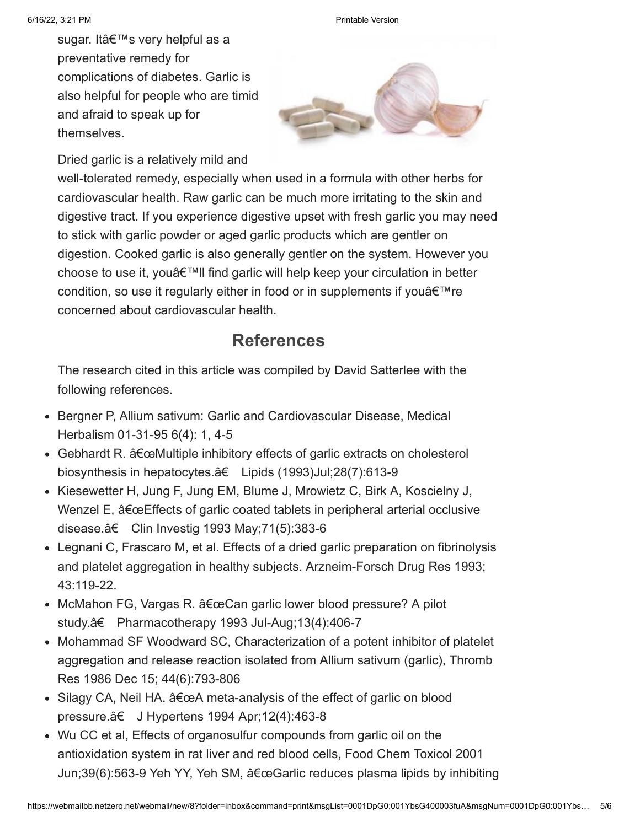sugar. It's very helpful as a preventative remedy for complications of diabetes. Garlic is also helpful for people who are timid and afraid to speak up for themselves.



Dried garlic is a relatively mild and

well-tolerated remedy, especially when used in a formula with other herbs for cardiovascular health. Raw garlic can be much more irritating to the skin and digestive tract. If you experience digestive upset with fresh garlic you may need to stick with garlic powder or aged garlic products which are gentler on digestion. Cooked garlic is also generally gentler on the system. However you choose to use it, you  $\theta$ <sup> $\mathsf{m}$ </sup>ll find garlic will help keep your circulation in better condition, so use it regularly either in food or in supplements if you  $\hat{a} \in \mathbb{N}$  re concerned about cardiovascular health.

#### **References**

The research cited in this article was compiled by David Satterlee with the following references.

- Bergner P, Allium sativum: Garlic and Cardiovascular Disease, Medical Herbalism 01-31-95 6(4): 1, 4-5
- Gebhardt R.  $âfæMultiple inhibitory effects of garlic extracts on cholesterol$ biosynthesis in hepatocytes.†Lipids (1993)Jul;28(7):613-9
- Kiesewetter H, Jung F, Jung EM, Blume J, Mrowietz C, Birk A, Koscielny J, Wenzel E, "Effects of garlic coated tablets in peripheral arterial occlusive disease.†Clin Investig 1993 May;71(5):383-6
- Legnani C, Frascaro M, et al. Effects of a dried garlic preparation on fibrinolysis and platelet aggregation in healthy subjects. Arzneim-Forsch Drug Res 1993; 43:119-22.
- $\bullet$  McMahon FG, Vargas R.  $â€ceCan$  garlic lower blood pressure? A pilot study.†Pharmacotherapy 1993 Jul-Aug;13(4):406-7
- Mohammad SF Woodward SC, Characterization of a potent inhibitor of platelet aggregation and release reaction isolated from Allium sativum (garlic), Thromb Res 1986 Dec 15; 44(6):793-806
- Silagy CA, Neil HA.  $\hat{a} \in \alpha A$  meta-analysis of the effect of garlic on blood pressure.†J Hypertens 1994 Apr;12(4):463-8
- Wu CC et al, Effects of organosulfur compounds from garlic oil on the antioxidation system in rat liver and red blood cells, Food Chem Toxicol 2001 Jun;39(6):563-9 Yeh YY, Yeh SM, "Garlic reduces plasma lipids by inhibiting